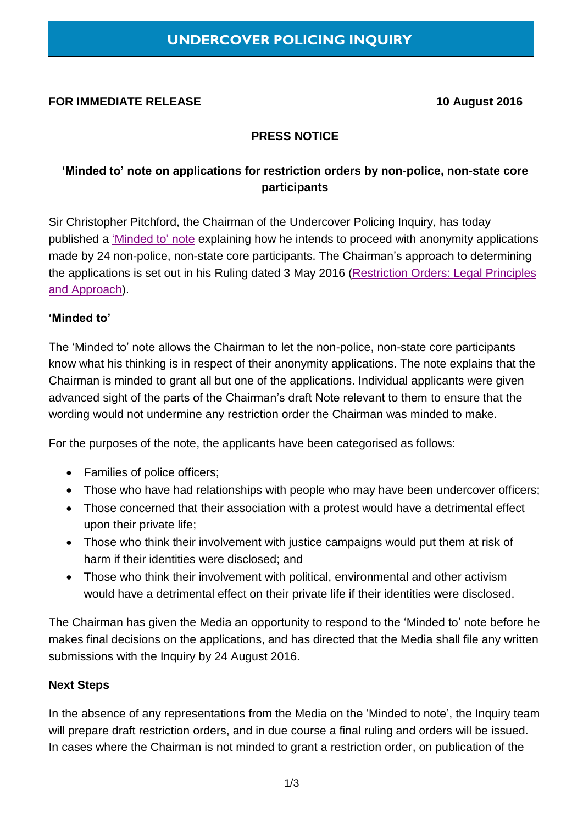#### **FOR IMMEDIATE RELEASE 10 August 2016**

### **PRESS NOTICE**

## **'Minded to' note on applications for restriction orders by non-police, non-state core participants**

Sir Christopher Pitchford, the Chairman of the Undercover Policing Inquiry, has today published a ['Minded to' note](https://www.ucpi.org.uk/wp-content/uploads/2016/08/160810-minded-to-NPNSCP-anonymity.pdf) explaining how he intends to proceed with anonymity applications made by 24 non-police, non-state core participants. The Chairman's approach to determining the applications is set out in his Ruling dated 3 May 2016 [\(Restriction Orders: Legal Principles](https://www.ucpi.org.uk/wp-content/uploads/2016/05/160503-ruling-legal-approach-to-restriction-orders.pdf)  [and Approach\)](https://www.ucpi.org.uk/wp-content/uploads/2016/05/160503-ruling-legal-approach-to-restriction-orders.pdf).

#### **'Minded to'**

The 'Minded to' note allows the Chairman to let the non-police, non-state core participants know what his thinking is in respect of their anonymity applications. The note explains that the Chairman is minded to grant all but one of the applications. Individual applicants were given advanced sight of the parts of the Chairman's draft Note relevant to them to ensure that the wording would not undermine any restriction order the Chairman was minded to make.

For the purposes of the note, the applicants have been categorised as follows:

- Families of police officers;
- Those who have had relationships with people who may have been undercover officers;
- Those concerned that their association with a protest would have a detrimental effect upon their private life;
- Those who think their involvement with justice campaigns would put them at risk of harm if their identities were disclosed; and
- Those who think their involvement with political, environmental and other activism would have a detrimental effect on their private life if their identities were disclosed.

The Chairman has given the Media an opportunity to respond to the 'Minded to' note before he makes final decisions on the applications, and has directed that the Media shall file any written submissions with the Inquiry by 24 August 2016.

#### **Next Steps**

In the absence of any representations from the Media on the 'Minded to note', the Inquiry team will prepare draft restriction orders, and in due course a final ruling and orders will be issued. In cases where the Chairman is not minded to grant a restriction order, on publication of the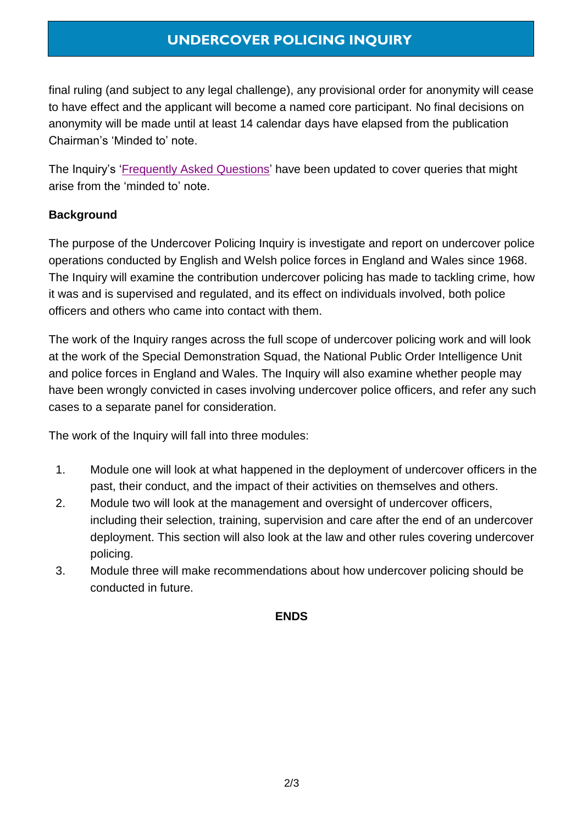# **UNDERCOVER POLICING INQUIRY**

final ruling (and subject to any legal challenge), any provisional order for anonymity will cease to have effect and the applicant will become a named core participant. No final decisions on anonymity will be made until at least 14 calendar days have elapsed from the publication Chairman's 'Minded to' note.

The Inquiry's ['Frequently Asked](https://www.ucpi.org.uk/wp-content/uploads/2016/08/160810-frequently-asked-questions.pdf) Questions' have been updated to cover queries that might arise from the 'minded to' note.

### **Background**

The purpose of the Undercover Policing Inquiry is investigate and report on undercover police operations conducted by English and Welsh police forces in England and Wales since 1968. The Inquiry will examine the contribution undercover policing has made to tackling crime, how it was and is supervised and regulated, and its effect on individuals involved, both police officers and others who came into contact with them.

The work of the Inquiry ranges across the full scope of undercover policing work and will look at the work of the Special Demonstration Squad, the National Public Order Intelligence Unit and police forces in England and Wales. The Inquiry will also examine whether people may have been wrongly convicted in cases involving undercover police officers, and refer any such cases to a separate panel for consideration.

The work of the Inquiry will fall into three modules:

- 1. Module one will look at what happened in the deployment of undercover officers in the past, their conduct, and the impact of their activities on themselves and others.
- 2. Module two will look at the management and oversight of undercover officers, including their selection, training, supervision and care after the end of an undercover deployment. This section will also look at the law and other rules covering undercover policing.
- 3. Module three will make recommendations about how undercover policing should be conducted in future.

#### **ENDS**